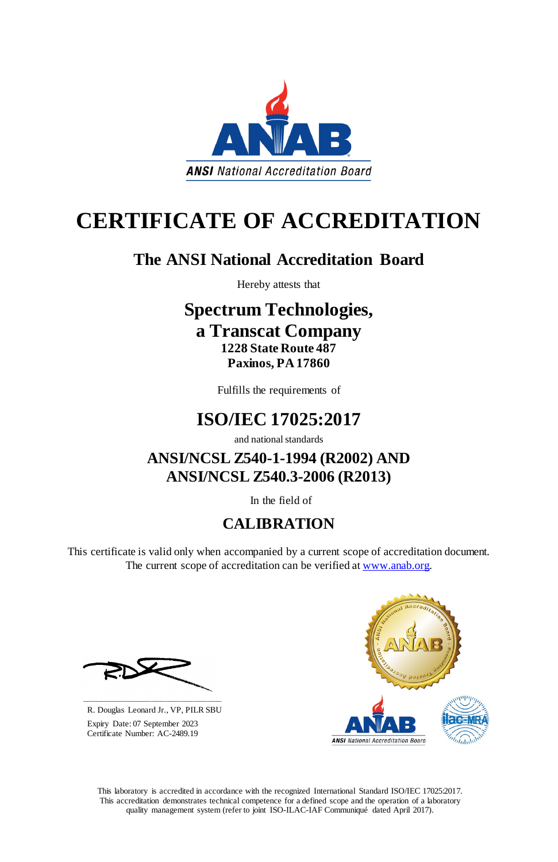This laboratory is accredited in accordance with the recognized International Standard ISO/IEC 17025:2017. This accreditation demonstrates technical competence for a defined scope and the operation of a laboratory quality management system (refer to joint ISO-ILAC-IAF Communiqué dated April 2017).



# **CERTIFICATE OF ACCREDITATION**

This certificate is valid only when accompanied by a current scope of accreditation document. The current scope of accreditation can be verified at [www.anab.org.](http://www.anab.org/)



# **The ANSI National Accreditation Board**

Hereby attests that

### **Spectrum Technologies, a Transcat Company 1228 State Route 487 Paxinos, PA 17860**

Fulfills the requirements of

# **ISO/IEC 17025:2017**

and national standards

**ANSI/NCSL Z540-1-1994 (R2002) AND ANSI/NCSL Z540.3-2006 (R2013)**

In the field of

# **CALIBRATION**

**\_\_\_\_\_\_\_\_\_\_\_\_\_\_\_\_\_\_\_\_\_\_\_\_\_\_\_\_\_\_** R. Douglas Leonard Jr., VP, PILR SBU

 Expiry Date: 07 September 2023 Certificate Number: AC-2489.19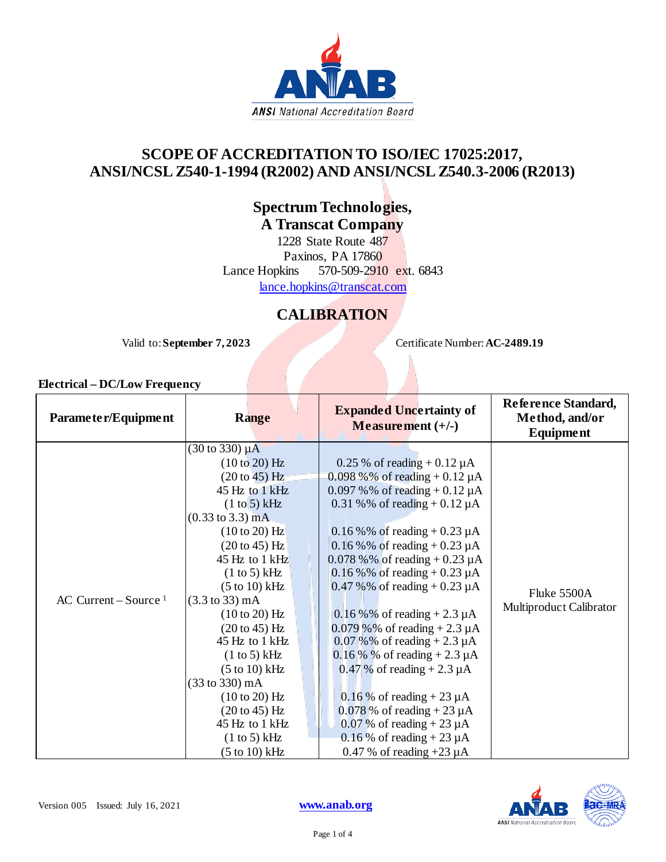

### **SCOPE OF ACCREDITATION TO ISO/IEC 17025:2017, ANSI/NCSL Z540-1-1994 (R2002) AND ANSI/NCSL Z540.3-2006 (R2013)**

**Spectrum Technologies, A Transcat Company**

1228 State Route 487 Paxinos, PA 17860 Lance Hopkins 570-509-2910 ext. 6843 [lance.hopkins@transcat.com](mailto:lance.hopkins@transcat.com)

### **CALIBRATION**

Valid to: **September 7, 2023** Certificate Number: **AC-2489.19** 

#### **Electrical – DC/Low Frequency**

| Parameter/Equipment              | <b>Range</b>                                                                                                                                                                                                                                                                                                                                                                                                                                                                                                                    | <b>Expanded Uncertainty of</b><br>Measurement $(+/-)$                                                                                                                                                                                                                                                                                                                                                                                                                                                                                                                                                                                                                                                  | Reference Standard,<br>Method, and/or<br>Equipment |
|----------------------------------|---------------------------------------------------------------------------------------------------------------------------------------------------------------------------------------------------------------------------------------------------------------------------------------------------------------------------------------------------------------------------------------------------------------------------------------------------------------------------------------------------------------------------------|--------------------------------------------------------------------------------------------------------------------------------------------------------------------------------------------------------------------------------------------------------------------------------------------------------------------------------------------------------------------------------------------------------------------------------------------------------------------------------------------------------------------------------------------------------------------------------------------------------------------------------------------------------------------------------------------------------|----------------------------------------------------|
| AC Current – Source <sup>1</sup> | $(30 \text{ to } 330) \mu\text{A}$<br>(10 to 20) Hz<br>$(20 to 45)$ Hz<br>45 Hz to 1 kHz<br>(1 to 5) kHz<br>$(0.33 \text{ to } 3.3) \text{ mA}$<br>$(10 \text{ to } 20)$ Hz<br>$(20 to 45)$ Hz<br>45 Hz to 1 kHz<br>$(1 to 5)$ kHz<br>$(5 to 10)$ kHz<br>$(3.3 \text{ to } 33) \text{ mA}$<br>$(10 \text{ to } 20)$ Hz<br>(20 to 45) Hz<br>45 Hz to 1 kHz<br>(1 to 5) kHz<br>$(5 \text{ to } 10) \text{ kHz}$<br>(33 to 330) mA<br>(10 to 20) Hz<br>$(20 \text{ to } 45)$ Hz<br>45 Hz to 1 kHz<br>(1 to 5) kHz<br>(5 to 10) kHz | 0.25 % of reading $+ 0.12 \mu A$<br>$0.098\%$ % of reading + 0.12 µA<br>0.097 % % of reading $+0.12 \mu A$<br>0.31 %% of reading $+ 0.12 \mu A$<br>0.16 % % of reading + 0.23 $\mu$ A<br>0.16 % % of reading + 0.23 $\mu$ A<br>$0.078\%$ % of reading + 0.23 µA<br>0.16 % % of reading $+0.23 \mu A$<br>$0.47 \%$ % of reading + 0.23 µA<br>$0.16\%$ % of reading + 2.3 µA<br>0.079 % % of reading $+2.3 \mu A$<br>0.07 % % of reading $+ 2.3 \mu A$<br>$0.16\%$ % of reading + 2.3 µ A<br>$0.47\%$ of reading + 2.3 $\mu$ A<br>$0.16\%$ of reading + 23 $\mu$ A<br>$0.078$ % of reading + 23 $\mu$ A<br>0.07 % of reading $+23 \mu A$<br>$0.16\%$ of reading + 23 µA<br>0.47 % of reading $+23 \mu A$ | Fluke 5500A<br>Multiproduct Calibrator             |

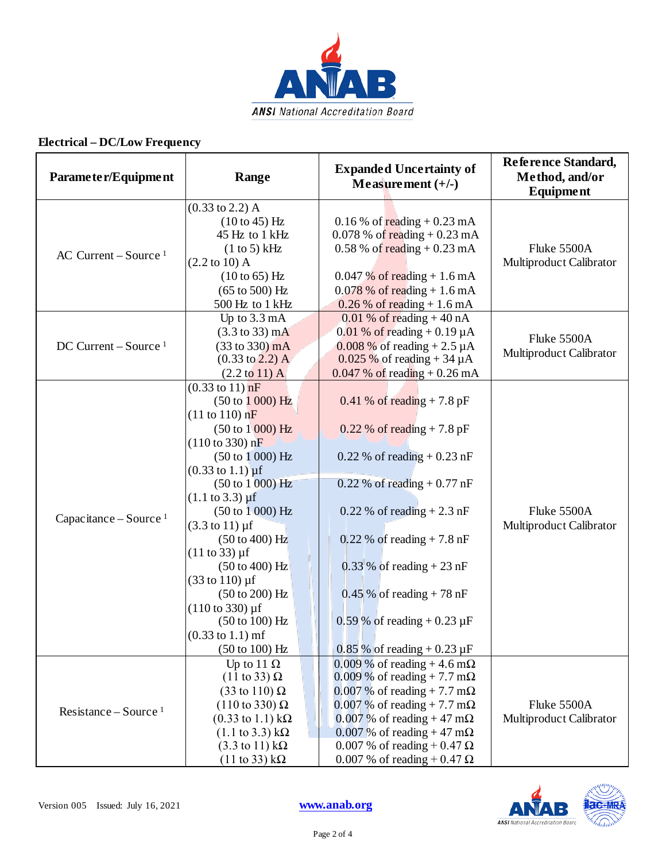

### **Electrical – DC/Low Frequency**

| Parameter/Equipment                | Range                                                                                                                                                                                                                                                                                                                                                                                                                                                                                                                                                                                                                                                                | <b>Expanded Uncertainty of</b><br>Measurement $(+/-)$                                                                                                                                                                                                                                                                              | Reference Standard,<br>Method, and/or<br>Equipment |
|------------------------------------|----------------------------------------------------------------------------------------------------------------------------------------------------------------------------------------------------------------------------------------------------------------------------------------------------------------------------------------------------------------------------------------------------------------------------------------------------------------------------------------------------------------------------------------------------------------------------------------------------------------------------------------------------------------------|------------------------------------------------------------------------------------------------------------------------------------------------------------------------------------------------------------------------------------------------------------------------------------------------------------------------------------|----------------------------------------------------|
| AC Current – Source <sup>1</sup>   | $(0.33 \text{ to } 2.2)$ A<br>$(10 to 45)$ Hz<br>45 Hz to 1 kHz<br>(1 to 5) kHz<br>$(2.2 \text{ to } 10)$ A<br>$(10 to 65)$ Hz<br>$(65 \text{ to } 500)$ Hz<br>500 Hz to 1 kHz                                                                                                                                                                                                                                                                                                                                                                                                                                                                                       | 0.16 % of $\text{reading} + 0.23 \text{ mA}$<br>0.078 % of reading $+0.23$ mA<br>$0.58\%$ of reading $+0.23$ mA<br>$0.047\%$ of reading + 1.6 mA<br>$0.078\%$ of reading + 1.6 mA<br>$0.26\%$ of reading + 1.6 mA                                                                                                                  | Fluke 5500A<br>Multiproduct Calibrator             |
| $DC$ Current – Source <sup>1</sup> | Up to 3.3 mA<br>$(3.3 \text{ to } 33) \text{ mA}$<br>$(33 to 330)$ mA<br>$(0.33 \text{ to } 2.2)$ A<br>$(2.2 \text{ to } 11)$ A                                                                                                                                                                                                                                                                                                                                                                                                                                                                                                                                      | $0.01\%$ of reading +40 nA<br>$0.01\%$ of reading + 0.19 µA<br>0.008 % of reading + 2.5 $\mu$ A<br>$0.025\%$ of reading + 34 $\mu$ A<br>$0.047$ % of reading $+0.26$ mA                                                                                                                                                            | Fluke 5500A<br>Multiproduct Calibrator             |
| Capacitance – Source <sup>1</sup>  | $(0.33 \text{ to } 11) \text{ nF}$<br>$(50 \text{ to } 1000) \text{ Hz}$<br>(11 to 110) nF<br>$(50 \text{ to } 1000) \text{ Hz}$<br>$(110 \text{ to } 330) \text{ nF}$<br>(50 to 1000) Hz<br>$(0.33 \text{ to } 1.1) \text{ µf}$<br>(50 to 1000) Hz<br>$(1.1 \text{ to } 3.3) \mu f$<br>(50 to 1000) Hz<br>$(3.3 \text{ to } 11) \,\mu\text{f}$<br>$(50 \text{ to } 400) \text{ Hz}$<br>$(11 to 33) \,\mu\text{f}$<br>$(50 \text{ to } 400) \text{ Hz}$<br>$(33 \text{ to } 110) \,\mu\text{f}$<br>$(50 \text{ to } 200) \text{ Hz}$<br>$(110 \text{ to } 330) \mu f$<br>(50 to 100) Hz<br>$(0.33 \text{ to } 1.1) \text{ m}$ f<br>$(50 \text{ to } 100) \text{ Hz}$ | $0.41\%$ of reading + 7.8 pF<br>$0.22\%$ of reading + 7.8 pF<br>$0.22\%$ of reading + 0.23 nF<br>$0.22$ % of reading $+0.77$ nF<br>$0.22\%$ of reading + 2.3 nF<br>$0,22\%$ of reading + 7.8 nF<br>$0.33\%$ of reading + 23 nF<br>$0.45\%$ of reading + 78 nF<br>0.59 % of reading $+ 0.23 \mu F$<br>$0.85\%$ of reading + 0.23 µF | Fluke 5500A<br>Multiproduct Calibrator             |
| Resistance – Source <sup>1</sup>   | Up to 11 $\Omega$<br>$(11 \text{ to } 33) \Omega$<br>$(33 \text{ to } 110) \Omega$<br>$(110 \text{ to } 330) \Omega$<br>$(0.33 \text{ to } 1.1) \text{ k}\Omega$<br>$(1.1 \text{ to } 3.3) \text{ k}\Omega$<br>$(3.3 \text{ to } 11) \text{ k}\Omega$<br>$(11 \text{ to } 33) \text{ k}\Omega$                                                                                                                                                                                                                                                                                                                                                                       | $0.009\%$ of reading + 4.6 m $\Omega$<br>$0.009\%$ of reading + 7.7 m $\Omega$<br>$0.007\%$ of reading + 7.7 m $\Omega$<br>$0.007\%$ of reading + 7.7 m $\Omega$<br>$0.007\%$ of reading + 47 m $\Omega$<br>0.007 % of reading + 47 m $\Omega$<br>0.007 % of reading + 0.47 $\Omega$<br>0.007 % of reading + 0.47 $\Omega$         | Fluke 5500A<br>Multiproduct Calibrator             |

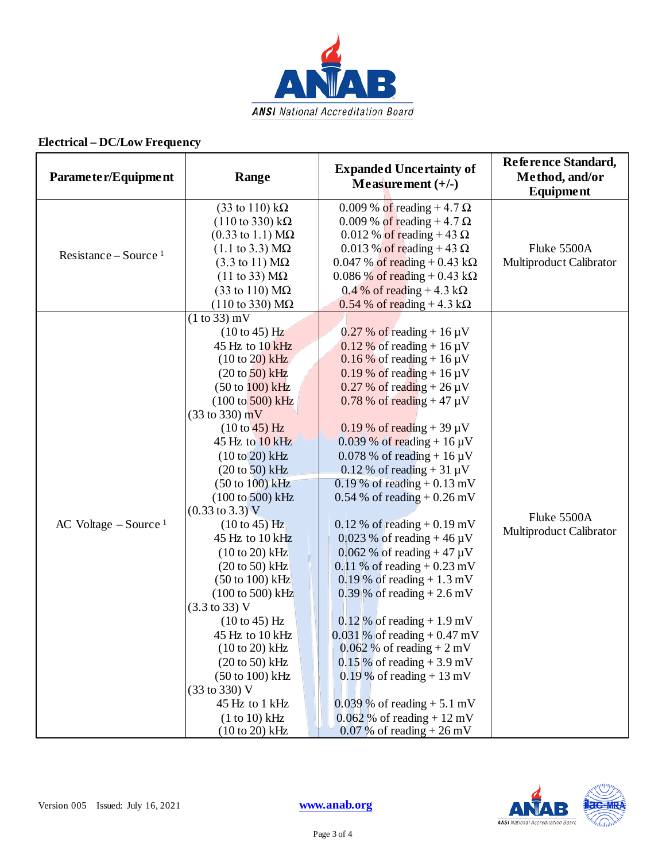

### **Electrical – DC/Low Frequency**

| Parameter/Equipment                | Range                                                                                                                                                                                                                                                                                                                                                                                                                                                                                                                                                                                                                                                                                                                                                                                   | <b>Expanded Uncertainty of</b><br>Measurement $(+/-)$                                                                                                                                                                                                                                                                                                                                                                                                                                                                                                                                                                                                                                                                                                                                                                                                                                | Reference Standard,<br>Method, and/or<br><b>Equipment</b> |
|------------------------------------|-----------------------------------------------------------------------------------------------------------------------------------------------------------------------------------------------------------------------------------------------------------------------------------------------------------------------------------------------------------------------------------------------------------------------------------------------------------------------------------------------------------------------------------------------------------------------------------------------------------------------------------------------------------------------------------------------------------------------------------------------------------------------------------------|--------------------------------------------------------------------------------------------------------------------------------------------------------------------------------------------------------------------------------------------------------------------------------------------------------------------------------------------------------------------------------------------------------------------------------------------------------------------------------------------------------------------------------------------------------------------------------------------------------------------------------------------------------------------------------------------------------------------------------------------------------------------------------------------------------------------------------------------------------------------------------------|-----------------------------------------------------------|
| Resistance – Source <sup>1</sup>   | $(33 \text{ to } 110) \text{ k}\Omega$<br>$(110 \text{ to } 330) \text{ k}\Omega$<br>$(0.33 \text{ to } 1.1) \text{ M}\Omega$<br>$(1.1 \text{ to } 3.3) \text{ M}\Omega$<br>$(3.3 \text{ to } 11) \text{ M}\Omega$<br>$(11 \text{ to } 33) \text{ M}\Omega$<br>$(33 \text{ to } 110) \text{ M}\Omega$<br>$(110 \text{ to } 330) \text{ M}\Omega$                                                                                                                                                                                                                                                                                                                                                                                                                                        | 0.009 % of reading $+4.7 \Omega$<br>0.009 % of reading $+4.7 \Omega$<br>0.012 % of reading + 43 $\Omega$<br>0.013 % of reading + 43 $\Omega$<br>$0.047$ % of reading + 0.43 kΩ<br>$0.086\%$ of reading + 0.43 kΩ<br>0.4 % of reading + 4.3 k $\Omega$<br>$0.54$ % of reading + 4.3 kΩ                                                                                                                                                                                                                                                                                                                                                                                                                                                                                                                                                                                                | Fluke 5500A<br>Multiproduct Calibrator                    |
| AC Voltage $-$ Source <sup>1</sup> | $(1 to 33)$ mV<br>$(10 to 45)$ Hz<br>45 Hz to 10 kHz<br>$(10 to 20)$ kHz<br>$(20 \text{ to } 50)$ kHz<br>$(50 \text{ to } 100) \text{ kHz}$<br>$(100 \text{ to } 500) \text{ kHz}$<br>$(33 \text{ to } 330) \text{ mV}$<br>$(10 to 45)$ Hz<br>45 Hz to 10 kHz<br>$(10 to 20)$ kHz<br>$(20 to 50)$ kHz<br>(50 to 100) kHz<br>(100 to 500) kHz<br>$(0.33 \text{ to } 3.3) \text{ V}$<br>$(10 \text{ to } 45)$ Hz<br>45 Hz to 10 kHz<br>$(10 to 20)$ kHz<br>$(20 \text{ to } 50)$ kHz<br>$(50 \text{ to } 100) \text{ kHz}$<br>(100 to 500) kHz<br>$(3.3 \text{ to } 33) \text{ V}$<br>$(10 to 45)$ Hz<br>45 Hz to 10 kHz<br>$(10 to 20)$ kHz<br>$(20 \text{ to } 50)$ kHz<br>$(50 \text{ to } 100) \text{ kHz}$<br>(33 to 330) V<br>45 Hz to 1 kHz<br>$(1 to 10)$ kHz<br>$(10 to 20)$ kHz | $0.27\%$ of reading + 16 $\mu$ V<br>$0.12\%$ of reading + 16 $\mu$ V<br>$0.16\%$ of reading + 16 µV<br>$0.19\%$ of reading + 16 µV<br>$0.27\%$ of reading + 26 $\mu$ V<br>$0.78\%$ of reading + 47 µV<br>$0.19\%$ of reading + 39 µV<br>$0.039\%$ of reading + 16 µV<br>$0.078\%$ of reading + 16 $\mu$ V<br>$0.12\%$ of reading + 31 µV<br>$0.19\%$ of reading + 0.13 mV<br>$0.54 \%$ of reading + 0.26 mV<br>$0.12\%$ of reading $+0.19$ mV<br>0.023 % of reading + 46 $\mu$ V<br>0.062 % of reading + 47 $\mu$ V<br>0.11 % of reading $+ 0.23$ mV<br>$0.19\%$ of reading + 1.3 mV<br>$0.39\%$ of reading + 2.6 mV<br>$0.12\%$ of reading + 1.9 mV<br>$0.031\%$ of reading + 0.47 mV<br>$0.062\%$ of reading + 2 mV<br>$0.15\%$ of reading + 3.9 mV<br>$0.19\%$ of reading + 13 mV<br>$0.039\%$ of reading + 5.1 mV<br>$0.062\%$ of reading + 12 mV<br>$0.07\%$ of reading + 26 mV | Fluke 5500A<br>Multiproduct Calibrator                    |